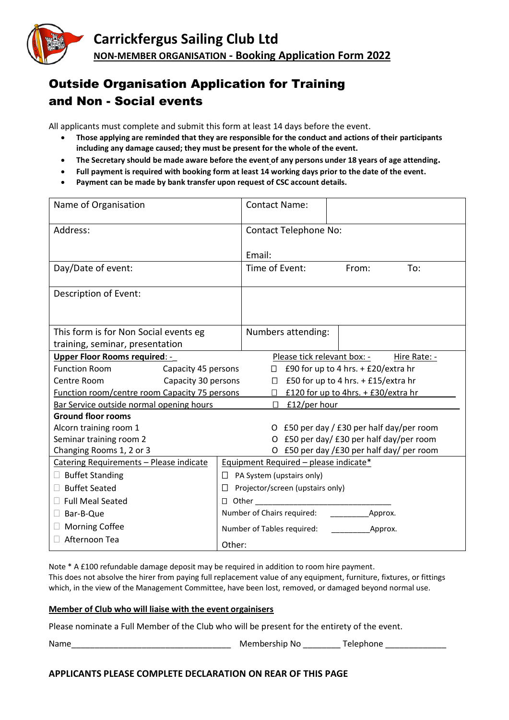

## Outside Organisation Application for Training and Non - Social events

All applicants must complete and submit this form at least 14 days before the event.

- **Those applying are reminded that they are responsible for the conduct and actions of their participants including any damage caused; they must be present for the whole of the event.**
- **The Secretary should be made aware before the event of any persons under 18 years of age attending.**
- **Full payment is required with booking form at least 14 working days prior to the date of the event.**
- **Payment can be made by bank transfer upon request of CSC account details.**

| Name of Organisation                                 |                     |                                       | <b>Contact Name:</b>                          |                                     |       |     |  |
|------------------------------------------------------|---------------------|---------------------------------------|-----------------------------------------------|-------------------------------------|-------|-----|--|
| Address:                                             |                     | <b>Contact Telephone No:</b>          |                                               |                                     |       |     |  |
|                                                      |                     |                                       | Email:                                        |                                     |       |     |  |
| Day/Date of event:                                   |                     |                                       | Time of Event:                                |                                     | From: | To: |  |
| Description of Event:                                |                     |                                       |                                               |                                     |       |     |  |
|                                                      |                     |                                       |                                               |                                     |       |     |  |
| This form is for Non Social events eg                |                     |                                       |                                               | Numbers attending:                  |       |     |  |
| training, seminar, presentation                      |                     |                                       |                                               |                                     |       |     |  |
| Upper Floor Rooms required: -                        |                     |                                       | Please tick relevant box: -<br>Hire Rate: -   |                                     |       |     |  |
| <b>Function Room</b>                                 | Capacity 45 persons |                                       |                                               | £90 for up to 4 hrs. + £20/extra hr |       |     |  |
| Centre Room<br>Capacity 30 persons                   |                     |                                       | £50 for up to 4 hrs. + £15/extra hr<br>$\Box$ |                                     |       |     |  |
| <b>Function room/centre room Capacity 75 persons</b> |                     |                                       | £120 for up to 4hrs. + £30/extra hr<br>П      |                                     |       |     |  |
| Bar Service outside normal opening hours             |                     |                                       |                                               | £12/per hour                        |       |     |  |
| <b>Ground floor rooms</b>                            |                     |                                       |                                               |                                     |       |     |  |
| Alcorn training room 1                               |                     |                                       | O £50 per day / £30 per half day/per room     |                                     |       |     |  |
| Seminar training room 2                              |                     |                                       | O £50 per day/ £30 per half day/per room      |                                     |       |     |  |
| Changing Rooms 1, 2 or 3                             |                     |                                       | O £50 per day /£30 per half day/ per room     |                                     |       |     |  |
| Catering Requirements - Please indicate              |                     | Equipment Required - please indicate* |                                               |                                     |       |     |  |
| <b>Buffet Standing</b>                               |                     | $\Box$ PA System (upstairs only)      |                                               |                                     |       |     |  |
| <b>Buffet Seated</b><br>$\Box$                       |                     | Projector/screen (upstairs only)      |                                               |                                     |       |     |  |
| <b>Full Meal Seated</b>                              |                     | $\Box$ Other                          |                                               |                                     |       |     |  |
| Bar-B-Que<br>$\mathbf{L}$                            |                     | Number of Chairs required:<br>Approx. |                                               |                                     |       |     |  |
| <b>Morning Coffee</b>                                |                     | Number of Tables required:<br>Approx. |                                               |                                     |       |     |  |
| Afternoon Tea                                        |                     | Other:                                |                                               |                                     |       |     |  |

Note \* A £100 refundable damage deposit may be required in addition to room hire payment. This does not absolve the hirer from paying full replacement value of any equipment, furniture, fixtures, or fittings which, in the view of the Management Committee, have been lost, removed, or damaged beyond normal use.

## **Member of Club who will liaise with the event orgainisers**

Please nominate a Full Member of the Club who will be present for the entirety of the event.

Name\_\_\_\_\_\_\_\_\_\_\_\_\_\_\_\_\_\_\_\_\_\_\_\_\_\_\_\_\_\_\_\_\_\_ Membership No \_\_\_\_\_\_\_\_ Telephone \_\_\_\_\_\_\_\_\_\_\_\_\_

## **APPLICANTS PLEASE COMPLETE DECLARATION ON REAR OF THIS PAGE**